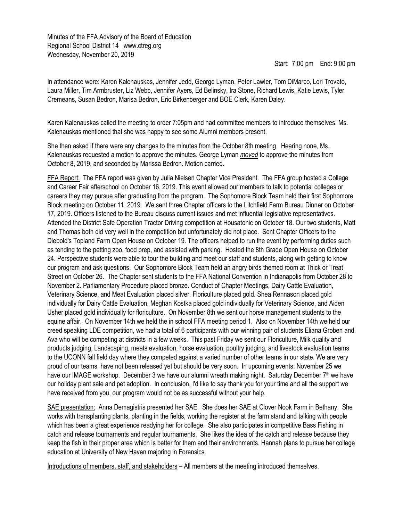Minutes of the FFA Advisory of the Board of Education Regional School District 14 www.ctreg.org Wednesday, November 20, 2019

## Start: 7:00 pm End: 9:00 pm

In attendance were: Karen Kalenauskas, Jennifer Jedd, George Lyman, Peter Lawler, Tom DiMarco, Lori Trovato, Laura Miller, Tim Armbruster, Liz Webb, Jennifer Ayers, Ed Belinsky, Ira Stone, Richard Lewis, Katie Lewis, Tyler Cremeans, Susan Bedron, Marisa Bedron, Eric Birkenberger and BOE Clerk, Karen Daley.

Karen Kalenauskas called the meeting to order 7:05pm and had committee members to introduce themselves. Ms. Kalenauskas mentioned that she was happy to see some Alumni members present.

She then asked if there were any changes to the minutes from the October 8th meeting. Hearing none, Ms. Kalenauskas requested a motion to approve the minutes. George Lyman *moved* to approve the minutes from October 8, 2019, and seconded by Marissa Bedron. Motion carried.

FFA Report: The FFA report was given by Julia Nielsen Chapter Vice President. The FFA group hosted a College and Career Fair afterschool on October 16, 2019. This event allowed our members to talk to potential colleges or careers they may pursue after graduating from the program. The Sophomore Block Team held their first Sophomore Block meeting on October 11, 2019. We sent three Chapter officers to the Litchfield Farm Bureau Dinner on October 17, 2019. Officers listened to the Bureau discuss current issues and met influential legislative representatives. Attended the District Safe Operation Tractor Driving competition at Housatonic on October 18. Our two students, Matt and Thomas both did very well in the competition but unfortunately did not place. Sent Chapter Officers to the Diebold's Topland Farm Open House on October 19. The officers helped to run the event by performing duties such as tending to the petting zoo, food prep, and assisted with parking. Hosted the 8th Grade Open House on October 24. Perspective students were able to tour the building and meet our staff and students, along with getting to know our program and ask questions. Our Sophomore Block Team held an angry birds themed room at Thick or Treat Street on October 26. The Chapter sent students to the FFA National Convention in Indianapolis from October 28 to November 2. Parliamentary Procedure placed bronze. Conduct of Chapter Meetings, Dairy Cattle Evaluation, Veterinary Science, and Meat Evaluation placed silver. Floriculture placed gold. Shea Rennason placed gold individually for Dairy Cattle Evaluation, Meghan Kostka placed gold individually for Veterinary Science, and Aiden Usher placed gold individually for floriculture. On November 8th we sent our horse management students to the equine affair. On November 14th we held the in school FFA meeting period 1. Also on November 14th we held our creed speaking LDE competition, we had a total of 6 participants with our winning pair of students Eliana Groben and Ava who will be competing at districts in a few weeks. This past Friday we sent our Floriculture, Milk quality and products judging, Landscaping, meats evaluation, horse evaluation, poultry judging, and livestock evaluation teams to the UCONN fall field day where they competed against a varied number of other teams in our state. We are very proud of our teams, have not been released yet but should be very soon. In upcoming events: November 25 we have our IMAGE workshop. December 3 we have our alumni wreath making night. Saturday December 7<sup>th</sup> we have our holiday plant sale and pet adoption. In conclusion, I'd like to say thank you for your time and all the support we have received from you, our program would not be as successful without your help.

SAE presentation: Anna Demagistris presented her SAE. She does her SAE at Clover Nook Farm in Bethany. She works with transplanting plants, planting in the fields, working the register at the farm stand and talking with people which has been a great experience readying her for college. She also participates in competitive Bass Fishing in catch and release tournaments and regular tournaments. She likes the idea of the catch and release because they keep the fish in their proper area which is better for them and their environments. Hannah plans to pursue her college education at University of New Haven majoring in Forensics.

Introductions of members, staff, and stakeholders – All members at the meeting introduced themselves.